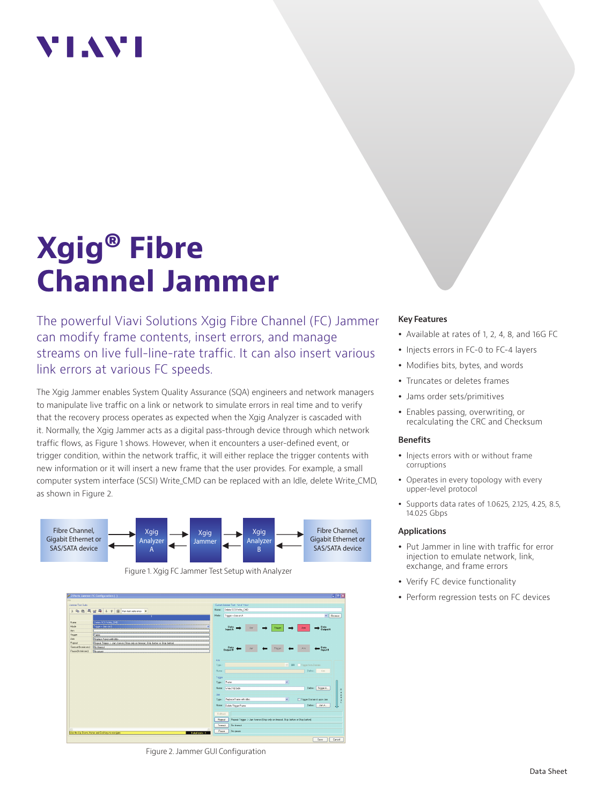## **TIAV**

# **Xgig® Fibre Channel Jammer**

The powerful Viavi Solutions Xgig Fibre Channel (FC) Jammer can modify frame contents, insert errors, and manage streams on live full-line-rate traffic. It can also insert various link errors at various FC speeds.

The Xgig Jammer enables System Quality Assurance (SQA) engineers and network managers to manipulate live traffic on a link or network to simulate errors in real time and to verify that the recovery process operates as expected when the Xgig Analyzer is cascaded with it. Normally, the Xgig Jammer acts as a digital pass-through device through which network traffic flows, as Figure 1 shows. However, when it encounters a user-defined event, or trigger condition, within the network traffic, it will either replace the trigger contents with new information or it will insert a new frame that the user provides. For example, a small computer system interface (SCSI) Write\_CMD can be replaced with an Idle, delete Write\_CMD, as shown in Figure 2.





Figure 2. Jammer GUI Configuration

#### **Key Features**

- Available at rates of 1, 2, 4, 8, and 16G FC
- Injects errors in FC-0 to FC-4 layers
- Modifies bits, bytes, and words
- Truncates or deletes frames
- Jams order sets/primitives
- Enables passing, overwriting, or recalculating the CRC and Checksum

#### **Benefits**

- Injects errors with or without frame corruptions
- Operates in every topology with every upper-level protocol
- Supports data rates of 1.0625, 2.125, 4.25, 8.5, 14.025 Gbps

#### **Applications**

- Put Jammer in line with traffic for error injection to emulate network, link, exchange, and frame errors
- Verify FC device functionality
- Perform regression tests on FC devices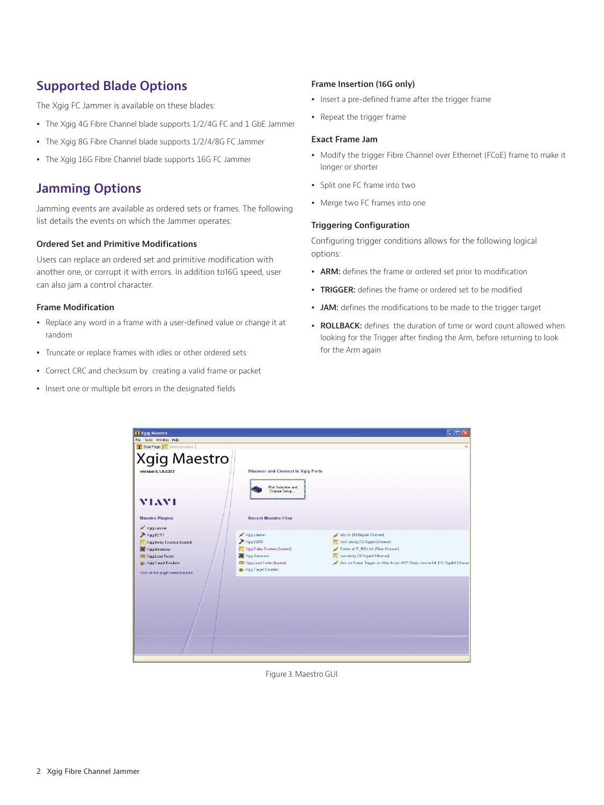## **Supported Blade Options**

The Xgig FC Jammer is available on these blades:

- The Xgig 4G Fibre Channel blade supports 1/2/4G FC and 1 GbE Jammer
- The Xgig 8G Fibre Channel blade supports 1/2/4/8G FC Jammer
- The Xgig 16G Fibre Channel blade supports 16G FC Jammer

## **Jamming Options**

Jamming events are available as ordered sets or frames. The following list details the events on which the Jammer operates:

#### **Ordered Set and Primitive Modifications**

Users can replace an ordered set and primitive modification with another one, or corrupt it with errors. In addition to16G speed, user can also jam a control character.

#### **Frame Modification**

- Replace any word in a frame with a user-defined value or change it at random
- Truncate or replace frames with idles or other ordered sets
- Correct CRC and checksum by creating a valid frame or packet
- Insert one or multiple bit errors in the designated fields

#### **Frame Insertion (16G only)**

- Insert a pre-defined frame after the trigger frame
- Repeat the trigger frame

#### **Exact Frame Jam**

- Modify the trigger Fibre Channel over Ethernet (FCoE) frame to make it longer or shorter
- Split one FC frame into two
- Merge two FC frames into one

#### **Triggering Configuration**

Configuring trigger conditions allows for the following logical options:

- ARM: defines the frame or ordered set prior to modification
- **TRIGGER:** defines the frame or ordered set to be modified
- JAM: defines the modifications to be made to the trigger target
- ROLLBACK: defines the duration of time or word count allowed when looking for the Trigger after finding the Arm, before returning to look for the Arm again

| Xgig Maestro                                         |                                           | $   $ $  $ $\times$                                                            |
|------------------------------------------------------|-------------------------------------------|--------------------------------------------------------------------------------|
| File Tools Window Help<br>Start Page N DelayEmulator |                                           | $\mathbf{x}$                                                                   |
|                                                      |                                           |                                                                                |
| <b>Xgig Maestro</b>                                  |                                           |                                                                                |
| version 6.1.0.6372                                   | <b>Discover and Connect to Xgig Ports</b> |                                                                                |
|                                                      |                                           |                                                                                |
|                                                      | Port Selection and<br>Domain Setup        |                                                                                |
|                                                      |                                           |                                                                                |
| <b>MIAMI</b>                                         |                                           |                                                                                |
|                                                      |                                           |                                                                                |
| <b>Maestro Plugins</b>                               | <b>Recent Maestro Files</b>               |                                                                                |
| N Xgig Jammer                                        |                                           |                                                                                |
| Xgig BERT<br>NJ Xgig Delay Emulator (loaded)         | N Xgig Jammer<br>Xgig BERT                | idle.tsk (10 Gigabit Ethernet)<br>Nil test1.decfg (10 Gigabit Ethernet)        |
| Xgig Generator                                       | Noig Delay Emulator (loaded)              | Delete all R_RDY.tsk (Fibre Channel)                                           |
| <b>Of Xaia Load Tester</b>                           | Xigia Generator                           | No. test decfg (10 Gigabit Ethernet)                                           |
| Say Xgig Target Emulator                             | <b>Of</b> Xgig Load Tester (loaded)       | Arm on Frame Trigger on Idles Insert ARP Reply forever.tsk (10 Gigabit Etherne |
| Click on the plugin name to load it.                 | Sig Target Emulator                       |                                                                                |
|                                                      |                                           |                                                                                |
|                                                      |                                           |                                                                                |
|                                                      |                                           |                                                                                |
|                                                      |                                           |                                                                                |
|                                                      |                                           |                                                                                |
|                                                      |                                           |                                                                                |
|                                                      |                                           |                                                                                |
|                                                      |                                           |                                                                                |
|                                                      |                                           |                                                                                |
|                                                      |                                           |                                                                                |

Figure 3. Maestro GUI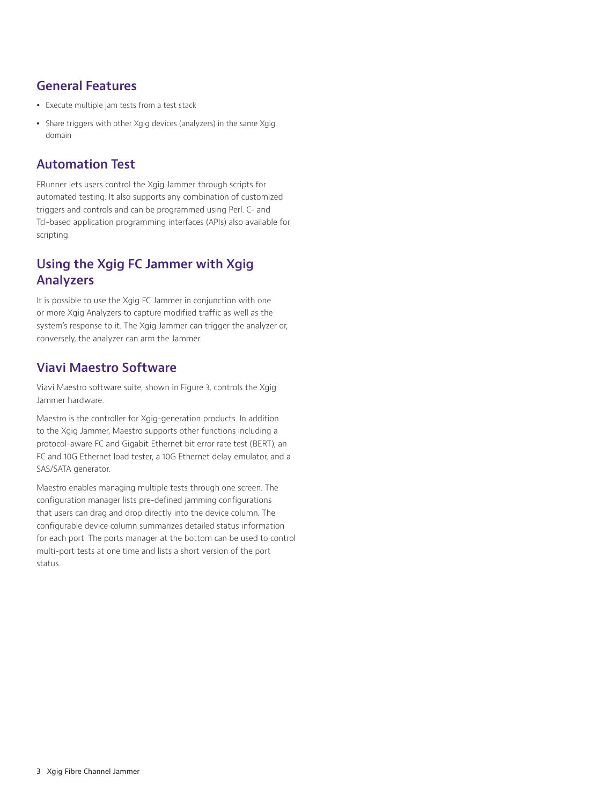## **General Features**

- Execute multiple jam tests from a test stack
- Share triggers with other Xgig devices (analyzers) in the same Xgig domain

## **Automation Test**

FRunner lets users control the Xgig Jammer through scripts for automated testing. It also supports any combination of customized triggers and controls and can be programmed using Perl. C- and Tcl-based application programming interfaces (APIs) also available for scripting.

## **Using the Xgig FC Jammer with Xgig Analyzers**

It is possible to use the Xgig FC Jammer in conjunction with one or more Xgig Analyzers to capture modified traffic as well as the system's response to it. The Xgig Jammer can trigger the analyzer or, conversely, the analyzer can arm the Jammer.

## **Viavi Maestro Software**

Viavi Maestro software suite, shown in Figure 3, controls the Xgig Jammer hardware.

Maestro is the controller for Xgig-generation products. In addition to the Xgig Jammer, Maestro supports other functions including a protocol-aware FC and Gigabit Ethernet bit error rate test (BERT), an FC and 10G Ethernet load tester, a 10G Ethernet delay emulator, and a SAS/SATA generator.

Maestro enables managing multiple tests through one screen. The configuration manager lists pre-defined jamming configurations that users can drag and drop directly into the device column. The configurable device column summarizes detailed status information for each port. The ports manager at the bottom can be used to control multi-port tests at one time and lists a short version of the port status.